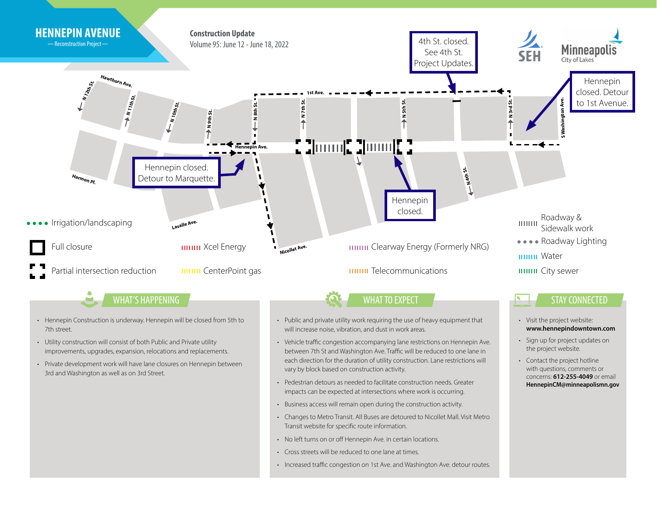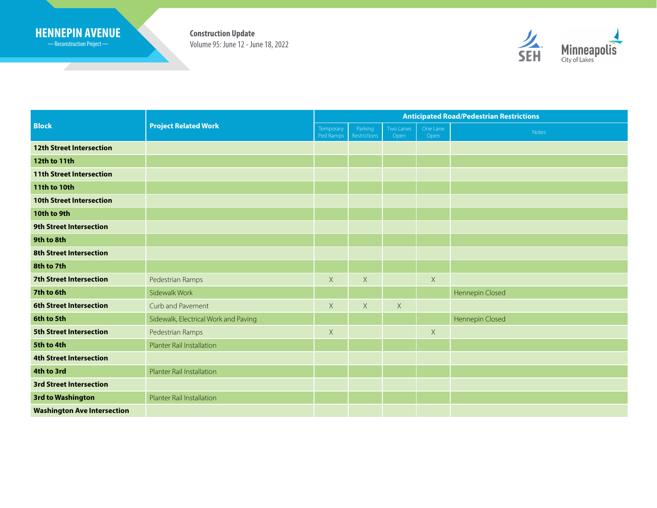## **HENNEPIN AVENUE Construction Update**

Reconstruction Project

<u> Samuel Started Barbon (Started Barbon)</u>

Volume 95: June 12 - June 18, 2022



| <b>Block</b>                       | <b>Project Related Work</b>          | <b>Anticipated Road/Pedestrian Restrictions</b> |                         |                   |                  |                 |
|------------------------------------|--------------------------------------|-------------------------------------------------|-------------------------|-------------------|------------------|-----------------|
|                                    |                                      | Temporary<br>Ped Ramps                          | Parking<br>Restrictions | Two Lanes<br>Open | One Lane<br>Open | Notes           |
| <b>12th Street Intersection</b>    |                                      |                                                 |                         |                   |                  |                 |
| 12th to 11th                       |                                      |                                                 |                         |                   |                  |                 |
| <b>11th Street Intersection</b>    |                                      |                                                 |                         |                   |                  |                 |
| <b>11th to 10th</b>                |                                      |                                                 |                         |                   |                  |                 |
| <b>10th Street Intersection</b>    |                                      |                                                 |                         |                   |                  |                 |
| 10th to 9th                        |                                      |                                                 |                         |                   |                  |                 |
| <b>9th Street Intersection</b>     |                                      |                                                 |                         |                   |                  |                 |
| 9th to 8th                         |                                      |                                                 |                         |                   |                  |                 |
| <b>8th Street Intersection</b>     |                                      |                                                 |                         |                   |                  |                 |
| 8th to 7th                         |                                      |                                                 |                         |                   |                  |                 |
| <b>7th Street Intersection</b>     | Pedestrian Ramps                     | $\mathsf X$                                     | X                       |                   | X                |                 |
| 7th to 6th                         | Sidewalk Work                        |                                                 |                         |                   |                  | Hennepin Closed |
| <b>6th Street Intersection</b>     | Curb and Pavement                    | $\times$                                        | $\mathsf X$             | $\mathsf X$       |                  |                 |
| 6th to 5th                         | Sidewalk, Electrical Work and Paving |                                                 |                         |                   |                  | Hennepin Closed |
| <b>5th Street Intersection</b>     | Pedestrian Ramps                     | $\times$                                        |                         |                   | $\times$         |                 |
| 5th to 4th                         | Planter Rail Installation            |                                                 |                         |                   |                  |                 |
| <b>4th Street Intersection</b>     |                                      |                                                 |                         |                   |                  |                 |
| 4th to 3rd                         | Planter Rail Installation            |                                                 |                         |                   |                  |                 |
| <b>3rd Street Intersection</b>     |                                      |                                                 |                         |                   |                  |                 |
| 3rd to Washington                  | <b>Planter Rail Installation</b>     |                                                 |                         |                   |                  |                 |
| <b>Washington Ave Intersection</b> |                                      |                                                 |                         |                   |                  |                 |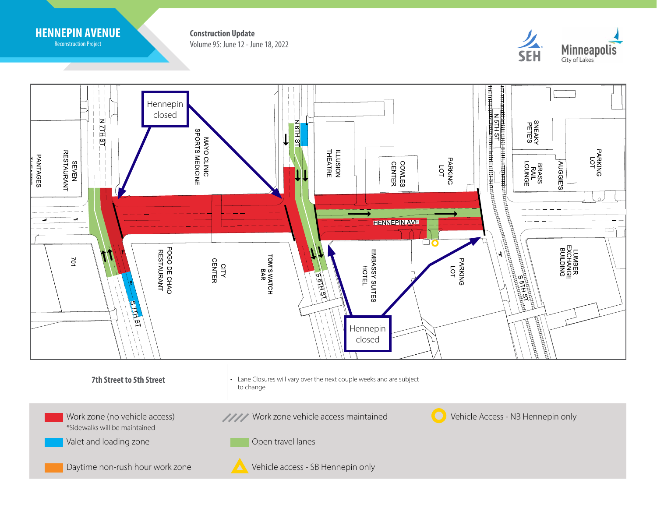

-Reconstruction Project-

Volume 95: June 12 - June 18, 2022